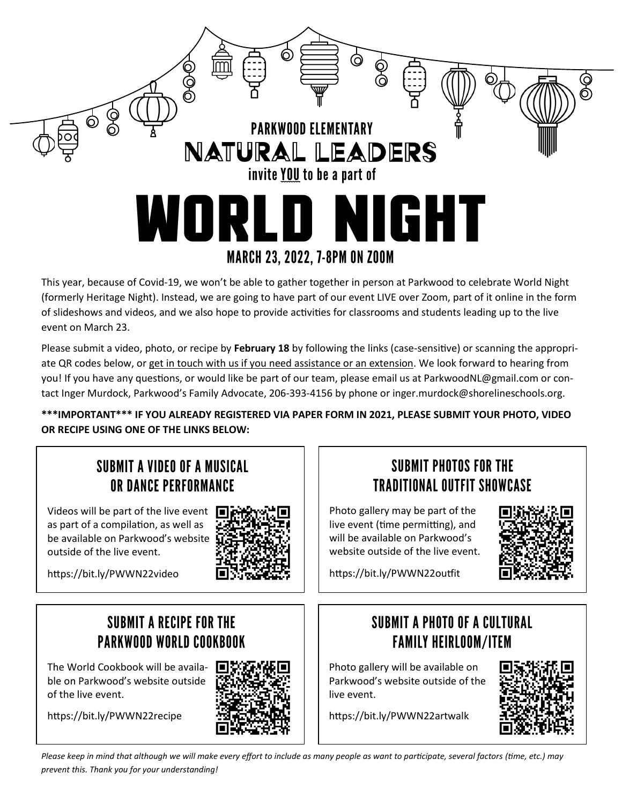

This year, because of Covid-19, we won't be able to gather together in person at Parkwood to celebrate World Night (formerly Heritage Night). Instead, we are going to have part of our event LIVE over Zoom, part of it online in the form of slideshows and videos, and we also hope to provide activities for classrooms and students leading up to the live event on March 23.

Please submit a video, photo, or recipe by **February 18** by following the links (case-sensitive) or scanning the appropriate QR codes below, or get in touch with us if you need assistance or an extension. We look forward to hearing from you! If you have any questions, or would like be part of our team, please email us at ParkwoodNL@gmail.com or contact Inger Murdock, Parkwood's Family Advocate, 206-393-4156 by phone or inger.murdock@shorelineschools.org.

**\*\*\*IMPORTANT\*\*\* IF YOU ALREADY REGISTERED VIA PAPER FORM IN 2021, PLEASE SUBMIT YOUR PHOTO, VIDEO OR RECIPE USING ONE OF THE LINKS BELOW:**

### SUBMIT A VIDEO OF A MUSICAL OR DANCE PERFORMANCE

Videos will be part of the live event as part of a compilation, as well as be available on Parkwood's website outside of the live event.



<https://bit.ly/PWWN22video>

### **SUBMIT A RECIPE FOR THE PARKWOOD WORLD COOKBOOK**

The World Cookbook will be available on Parkwood's website outside of the live event.

<https://bit.ly/PWWN22recipe>



#### **SUBMIT PHOTOS FOR THE TRADITIONAL OUTFIT SHOWCASE**

Photo gallery may be part of the live event (time permitting), and will be available on Parkwood's website outside of the live event.



<https://bit.ly/PWWN22outfit>

## **SUBMIT A PHOTO OF A CULTURAL FAMILY HEIRLOOM/ITEM**

Photo gallery will be available on Parkwood's website outside of the live event.

<https://bit.ly/PWWN22artwalk>



*Please keep in mind that although we will make every effort to include as many people as want to participate, several factors (time, etc) may prevent this) Thank you for your understanding!*